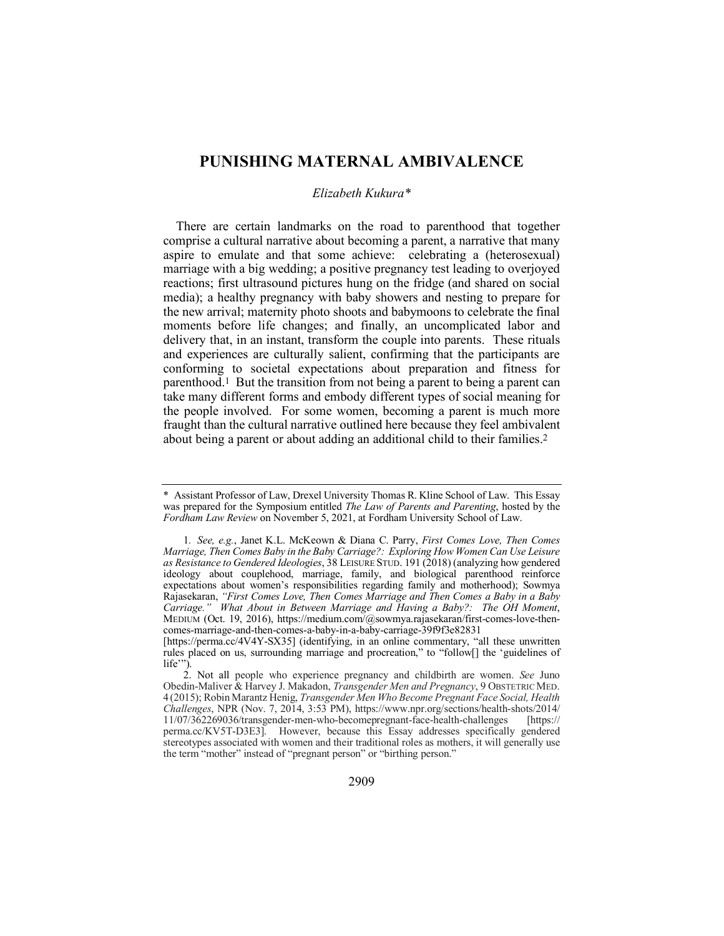# **PUNISHING MATERNAL AMBIVALENCE**

# *Elizabeth Kukura\**

There are certain landmarks on the road to parenthood that together comprise a cultural narrative about becoming a parent, a narrative that many aspire to emulate and that some achieve: celebrating a (heterosexual) marriage with a big wedding; a positive pregnancy test leading to overjoyed reactions; first ultrasound pictures hung on the fridge (and shared on social media); a healthy pregnancy with baby showers and nesting to prepare for the new arrival; maternity photo shoots and babymoons to celebrate the final moments before life changes; and finally, an uncomplicated labor and delivery that, in an instant, transform the couple into parents. These rituals and experiences are culturally salient, confirming that the participants are conforming to societal expectations about preparation and fitness for parenthood.1 But the transition from not being a parent to being a parent can take many different forms and embody different types of social meaning for the people involved. For some women, becoming a parent is much more fraught than the cultural narrative outlined here because they feel ambivalent about being a parent or about adding an additional child to their families.2

<sup>\*</sup> Assistant Professor of Law, Drexel University Thomas R. Kline School of Law. This Essay was prepared for the Symposium entitled *The Law of Parents and Parenting*, hosted by the *Fordham Law Review* on November 5, 2021, at Fordham University School of Law.

<sup>1</sup>*. See, e.g.*, Janet K.L. McKeown & Diana C. Parry, *First Comes Love, Then Comes Marriage, Then Comes Baby in the Baby Carriage?: Exploring How Women Can Use Leisure as Resistance to Gendered Ideologies*, 38 LEISURE STUD. 191 (2018) (analyzing how gendered ideology about couplehood, marriage, family, and biological parenthood reinforce expectations about women's responsibilities regarding family and motherhood); Sowmya Rajasekaran, *"First Comes Love, Then Comes Marriage and Then Comes a Baby in a Baby Carriage." What About in Between Marriage and Having a Baby?: The OH Moment*, MEDIUM (Oct. 19, 2016), https://medium.com/@sowmya.rajasekaran/first-comes-love-thencomes-marriage-and-then-comes-a-baby-in-a-baby-carriage-39f9f3e82831

<sup>[</sup>https://perma.cc/4V4Y-SX35] (identifying, in an online commentary, "all these unwritten rules placed on us, surrounding marriage and procreation," to "follow[] the 'guidelines of life"").

<sup>2.</sup> Not all people who experience pregnancy and childbirth are women. *See* Juno Obedin-Maliver & Harvey J. Makadon, *Transgender Men and Pregnancy*, 9 OBSTETRIC MED. 4 (2015); Robin Marantz Henig, *Transgender Men Who Become Pregnant Face Social, Health Challenges*, NPR (Nov. 7, 2014, 3:53 PM), https://www.npr.org/sections/health-shots/2014/ 11/07/362269036/transgender-men-who-becomepregnant-face-health-challenges perma.cc/KV5T-D3E3]. However, because this Essay addresses specifically gendered stereotypes associated with women and their traditional roles as mothers, it will generally use the term "mother" instead of "pregnant person" or "birthing person."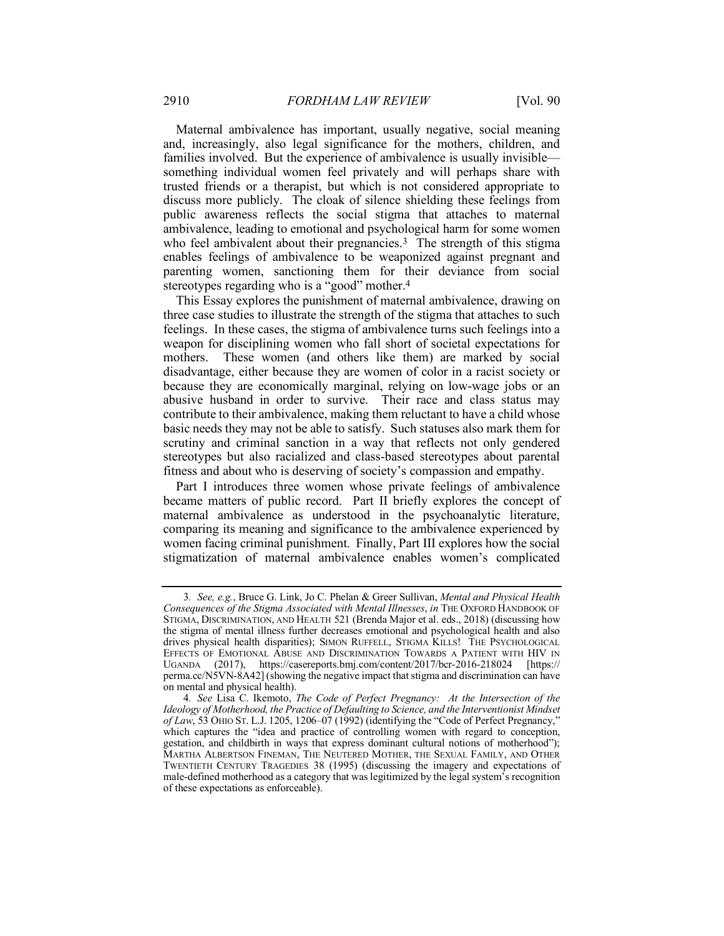Maternal ambivalence has important, usually negative, social meaning and, increasingly, also legal significance for the mothers, children, and families involved. But the experience of ambivalence is usually invisible something individual women feel privately and will perhaps share with trusted friends or a therapist, but which is not considered appropriate to discuss more publicly. The cloak of silence shielding these feelings from public awareness reflects the social stigma that attaches to maternal ambivalence, leading to emotional and psychological harm for some women who feel ambivalent about their pregnancies.<sup>3</sup> The strength of this stigma enables feelings of ambivalence to be weaponized against pregnant and parenting women, sanctioning them for their deviance from social stereotypes regarding who is a "good" mother.<sup>4</sup>

This Essay explores the punishment of maternal ambivalence, drawing on three case studies to illustrate the strength of the stigma that attaches to such feelings. In these cases, the stigma of ambivalence turns such feelings into a weapon for disciplining women who fall short of societal expectations for mothers. These women (and others like them) are marked by social disadvantage, either because they are women of color in a racist society or because they are economically marginal, relying on low-wage jobs or an abusive husband in order to survive. Their race and class status may contribute to their ambivalence, making them reluctant to have a child whose basic needs they may not be able to satisfy. Such statuses also mark them for scrutiny and criminal sanction in a way that reflects not only gendered stereotypes but also racialized and class-based stereotypes about parental fitness and about who is deserving of society's compassion and empathy.

Part I introduces three women whose private feelings of ambivalence became matters of public record. Part II briefly explores the concept of maternal ambivalence as understood in the psychoanalytic literature, comparing its meaning and significance to the ambivalence experienced by women facing criminal punishment. Finally, Part III explores how the social stigmatization of maternal ambivalence enables women's complicated

<sup>3</sup>*. See, e.g.*, Bruce G. Link, Jo C. Phelan & Greer Sullivan, *Mental and Physical Health Consequences of the Stigma Associated with Mental Illnesses*, *in* THE OXFORD HANDBOOK OF STIGMA, DISCRIMINATION, AND HEALTH 521 (Brenda Major et al. eds., 2018) (discussing how the stigma of mental illness further decreases emotional and psychological health and also drives physical health disparities); SIMON RUFFELL, STIGMA KILLS! THE PSYCHOLOGICAL EFFECTS OF EMOTIONAL ABUSE AND DISCRIMINATION TOWARDS A PATIENT WITH HIV IN UGANDA (2017), https://casereports.bmj.com/content/2017/bcr-2016-218024 [https:// perma.cc/N5VN-8A42] (showing the negative impact that stigma and discrimination can have on mental and physical health).

<sup>4</sup>*. See* Lisa C. Ikemoto, *The Code of Perfect Pregnancy: At the Intersection of the Ideology of Motherhood, the Practice of Defaulting to Science, and the Interventionist Mindset of Law*, 53 OHIO ST. L.J. 1205, 1206–07 (1992) (identifying the "Code of Perfect Pregnancy," which captures the "idea and practice of controlling women with regard to conception, gestation, and childbirth in ways that express dominant cultural notions of motherhood"); MARTHA ALBERTSON FINEMAN, THE NEUTERED MOTHER, THE SEXUAL FAMILY, AND OTHER TWENTIETH CENTURY TRAGEDIES 38 (1995) (discussing the imagery and expectations of male-defined motherhood as a category that was legitimized by the legal system's recognition of these expectations as enforceable).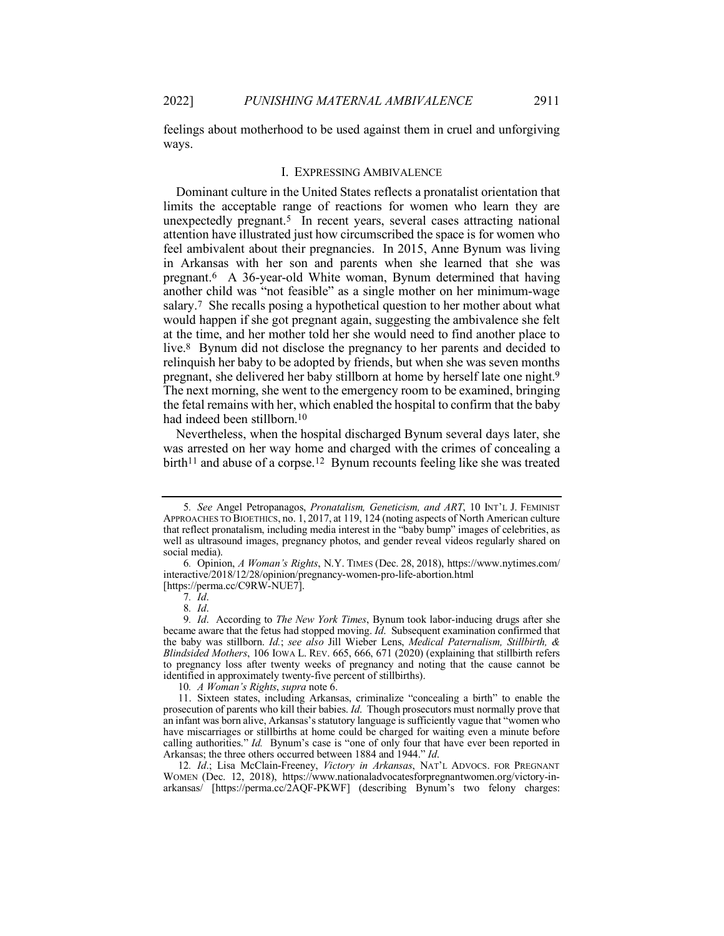feelings about motherhood to be used against them in cruel and unforgiving ways.

#### I. EXPRESSING AMBIVALENCE

Dominant culture in the United States reflects a pronatalist orientation that limits the acceptable range of reactions for women who learn they are unexpectedly pregnant.5 In recent years, several cases attracting national attention have illustrated just how circumscribed the space is for women who feel ambivalent about their pregnancies. In 2015, Anne Bynum was living in Arkansas with her son and parents when she learned that she was pregnant.6 A 36-year-old White woman, Bynum determined that having another child was "not feasible" as a single mother on her minimum-wage salary.7 She recalls posing a hypothetical question to her mother about what would happen if she got pregnant again, suggesting the ambivalence she felt at the time, and her mother told her she would need to find another place to live.8 Bynum did not disclose the pregnancy to her parents and decided to relinquish her baby to be adopted by friends, but when she was seven months pregnant, she delivered her baby stillborn at home by herself late one night.9 The next morning, she went to the emergency room to be examined, bringing the fetal remains with her, which enabled the hospital to confirm that the baby had indeed been stillborn.10

Nevertheless, when the hospital discharged Bynum several days later, she was arrested on her way home and charged with the crimes of concealing a birth<sup>11</sup> and abuse of a corpse.<sup>12</sup> Bynum recounts feeling like she was treated

<sup>5</sup>*. See* Angel Petropanagos, *Pronatalism, Geneticism, and ART*, 10 INT'L J. FEMINIST APPROACHES TO BIOETHICS, no. 1, 2017, at 119, 124 (noting aspects of North American culture that reflect pronatalism, including media interest in the "baby bump" images of celebrities, as well as ultrasound images, pregnancy photos, and gender reveal videos regularly shared on social media).

<sup>6</sup>*.* Opinion, *A Woman's Rights*, N.Y. TIMES (Dec. 28, 2018), https://www.nytimes.com/ interactive/2018/12/28/opinion/pregnancy-women-pro-life-abortion.html [https://perma.cc/C9RW-NUE7].

<sup>7</sup>*. Id*.

<sup>8</sup>*. Id*.

<sup>9</sup>*. Id*. According to *The New York Times*, Bynum took labor-inducing drugs after she became aware that the fetus had stopped moving. *Id*. Subsequent examination confirmed that the baby was stillborn. *Id.*; *see also* Jill Wieber Lens, *Medical Paternalism, Stillbirth, & Blindsided Mothers*, 106 IOWA L. REV. 665, 666, 671 (2020) (explaining that stillbirth refers to pregnancy loss after twenty weeks of pregnancy and noting that the cause cannot be identified in approximately twenty-five percent of stillbirths).

<sup>10</sup>*. A Woman's Rights*, *supra* note 6.

<sup>11.</sup> Sixteen states, including Arkansas, criminalize "concealing a birth" to enable the prosecution of parents who kill their babies. *Id*. Though prosecutors must normally prove that an infant was born alive, Arkansas'sstatutory language is sufficiently vague that "women who have miscarriages or stillbirths at home could be charged for waiting even a minute before calling authorities." *Id.* Bynum's case is "one of only four that have ever been reported in Arkansas; the three others occurred between 1884 and 1944." *Id*.

<sup>12</sup>*. Id*.; Lisa McClain-Freeney, *Victory in Arkansas*, NAT'L ADVOCS. FOR PREGNANT WOMEN (Dec. 12, 2018), https://www.nationaladvocatesforpregnantwomen.org/victory-inarkansas/ [https://perma.cc/2AQF-PKWF] (describing Bynum's two felony charges: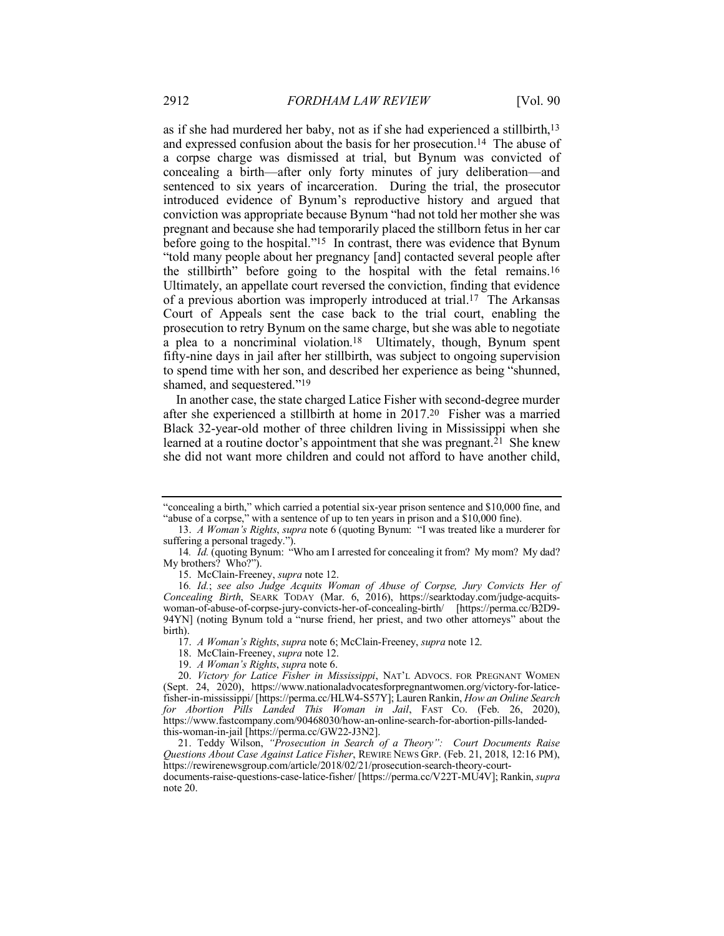as if she had murdered her baby, not as if she had experienced a stillbirth,13 and expressed confusion about the basis for her prosecution.14 The abuse of a corpse charge was dismissed at trial, but Bynum was convicted of concealing a birth—after only forty minutes of jury deliberation—and sentenced to six years of incarceration. During the trial, the prosecutor introduced evidence of Bynum's reproductive history and argued that conviction was appropriate because Bynum "had not told her mother she was pregnant and because she had temporarily placed the stillborn fetus in her car before going to the hospital."15 In contrast, there was evidence that Bynum "told many people about her pregnancy [and] contacted several people after the stillbirth" before going to the hospital with the fetal remains.16 Ultimately, an appellate court reversed the conviction, finding that evidence of a previous abortion was improperly introduced at trial.17 The Arkansas Court of Appeals sent the case back to the trial court, enabling the prosecution to retry Bynum on the same charge, but she was able to negotiate a plea to a noncriminal violation.18 Ultimately, though, Bynum spent fifty-nine days in jail after her stillbirth, was subject to ongoing supervision to spend time with her son, and described her experience as being "shunned, shamed, and sequestered."19

In another case, the state charged Latice Fisher with second-degree murder after she experienced a stillbirth at home in 2017.20 Fisher was a married Black 32-year-old mother of three children living in Mississippi when she learned at a routine doctor's appointment that she was pregnant.21 She knew she did not want more children and could not afford to have another child,

<sup>&</sup>quot;concealing a birth," which carried a potential six-year prison sentence and \$10,000 fine, and "abuse of a corpse," with a sentence of up to ten years in prison and a \$10,000 fine).

<sup>13.</sup> *A Woman's Rights*, *supra* note 6 (quoting Bynum: "I was treated like a murderer for suffering a personal tragedy.").

<sup>14</sup>*. Id.* (quoting Bynum: "Who am I arrested for concealing it from? My mom? My dad? My brothers? Who?").

<sup>15.</sup> McClain-Freeney, *supra* note 12.

<sup>16</sup>*. Id.*; *see also Judge Acquits Woman of Abuse of Corpse, Jury Convicts Her of Concealing Birth*, SEARK TODAY (Mar. 6, 2016), https://searktoday.com/judge-acquitswoman-of-abuse-of-corpse-jury-convicts-her-of-concealing-birth/ [https://perma.cc/B2D9- 94YN] (noting Bynum told a "nurse friend, her priest, and two other attorneys" about the birth).

<sup>17.</sup> *A Woman's Rights*, *supra* note 6; McClain-Freeney, *supra* note 12.

<sup>18.</sup> McClain-Freeney, *supra* note 12.

<sup>19.</sup> *A Woman's Rights*, *supra* note 6.

<sup>20.</sup> *Victory for Latice Fisher in Mississippi*, NAT'L ADVOCS. FOR PREGNANT WOMEN (Sept. 24, 2020), https://www.nationaladvocatesforpregnantwomen.org/victory-for-laticefisher-in-mississippi/ [https://perma.cc/HLW4-S57Y]; Lauren Rankin, *How an Online Search for Abortion Pills Landed This Woman in Jail*, FAST CO. (Feb. 26, 2020), https://www.fastcompany.com/90468030/how-an-online-search-for-abortion-pills-landedthis-woman-in-jail [https://perma.cc/GW22-J3N2].

<sup>21.</sup> Teddy Wilson, *"Prosecution in Search of a Theory": Court Documents Raise Questions About Case Against Latice Fisher*, REWIRE NEWS GRP. (Feb. 21, 2018, 12:16 PM), https://rewirenewsgroup.com/article/2018/02/21/prosecution-search-theory-court-

documents-raise-questions-case-latice-fisher/ [https://perma.cc/V22T-MU4V]; Rankin, *supra* note 20.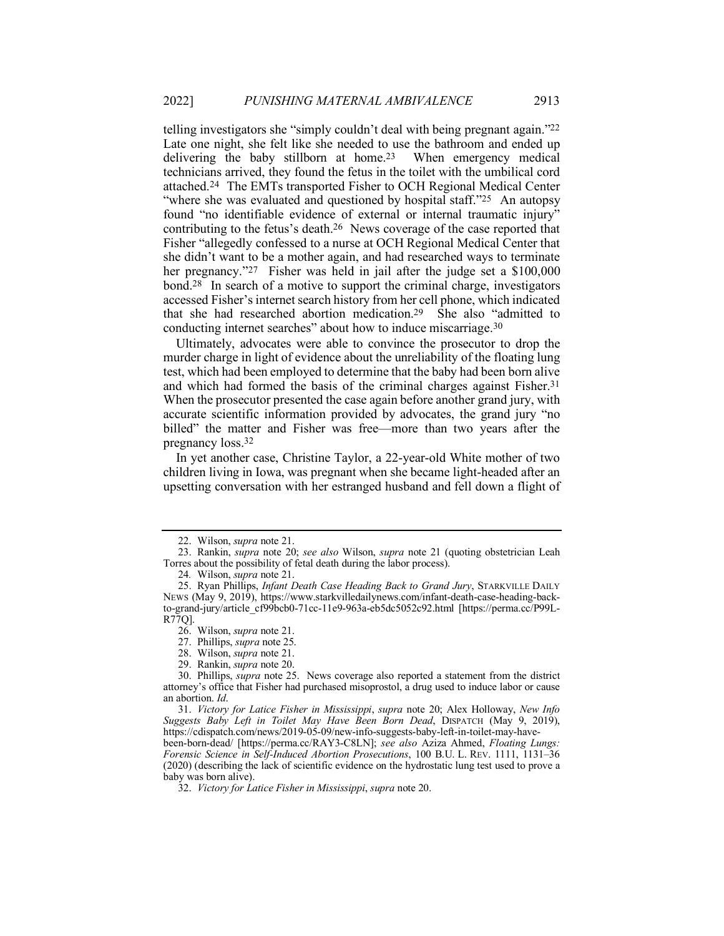telling investigators she "simply couldn't deal with being pregnant again."22 Late one night, she felt like she needed to use the bathroom and ended up delivering the baby stillborn at home.23 When emergency medical technicians arrived, they found the fetus in the toilet with the umbilical cord attached.24 The EMTs transported Fisher to OCH Regional Medical Center "where she was evaluated and questioned by hospital staff."<sup>25</sup> An autopsy found "no identifiable evidence of external or internal traumatic injury" contributing to the fetus's death.26 News coverage of the case reported that Fisher "allegedly confessed to a nurse at OCH Regional Medical Center that she didn't want to be a mother again, and had researched ways to terminate her pregnancy."<sup>27</sup> Fisher was held in jail after the judge set a \$100,000 bond.28 In search of a motive to support the criminal charge, investigators accessed Fisher's internet search history from her cell phone, which indicated that she had researched abortion medication.29 She also "admitted to conducting internet searches" about how to induce miscarriage.30

Ultimately, advocates were able to convince the prosecutor to drop the murder charge in light of evidence about the unreliability of the floating lung test, which had been employed to determine that the baby had been born alive and which had formed the basis of the criminal charges against Fisher.31 When the prosecutor presented the case again before another grand jury, with accurate scientific information provided by advocates, the grand jury "no billed" the matter and Fisher was free—more than two years after the pregnancy loss.32

In yet another case, Christine Taylor, a 22-year-old White mother of two children living in Iowa, was pregnant when she became light-headed after an upsetting conversation with her estranged husband and fell down a flight of

<sup>22.</sup> Wilson, *supra* note 21.

<sup>23.</sup> Rankin, *supra* note 20; *see also* Wilson, *supra* note 21 (quoting obstetrician Leah Torres about the possibility of fetal death during the labor process).

<sup>24</sup>*.* Wilson, *supra* note 21.

<sup>25.</sup> Ryan Phillips, *Infant Death Case Heading Back to Grand Jury*, STARKVILLE DAILY NEWS (May 9, 2019), https://www.starkvilledailynews.com/infant-death-case-heading-backto-grand-jury/article\_cf99bcb0-71cc-11e9-963a-eb5dc5052c92.html [https://perma.cc/P99L-R77Q].

<sup>26.</sup> Wilson, *supra* note 21.

<sup>27.</sup> Phillips, *supra* note 25.

<sup>28.</sup> Wilson, *supra* note 21.

<sup>29.</sup> Rankin, *supra* note 20.

<sup>30.</sup> Phillips, *supra* note 25. News coverage also reported a statement from the district attorney's office that Fisher had purchased misoprostol, a drug used to induce labor or cause an abortion. *Id*.

<sup>31.</sup> *Victory for Latice Fisher in Mississippi*, *supra* note 20; Alex Holloway, *New Info Suggests Baby Left in Toilet May Have Been Born Dead*, DISPATCH (May 9, 2019), https://cdispatch.com/news/2019-05-09/new-info-suggests-baby-left-in-toilet-may-have-

been-born-dead/ [https://perma.cc/RAY3-C8LN]; *see also* Aziza Ahmed, *Floating Lungs: Forensic Science in Self-Induced Abortion Prosecutions*, 100 B.U. L. REV. 1111, 1131–36 (2020) (describing the lack of scientific evidence on the hydrostatic lung test used to prove a baby was born alive).

<sup>32.</sup> *Victory for Latice Fisher in Mississippi*, *supra* note 20.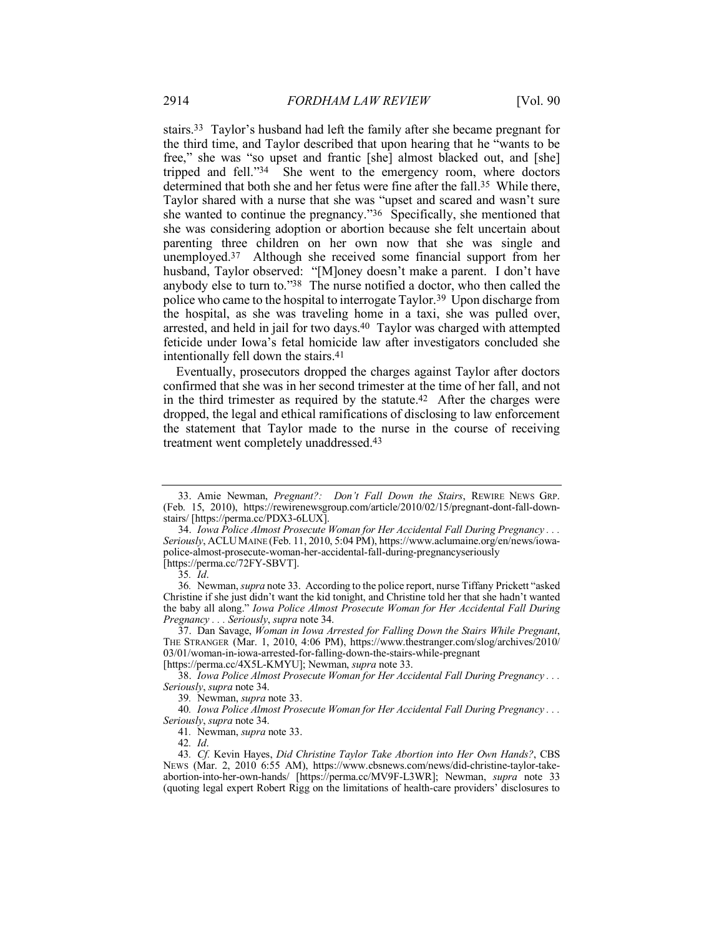stairs.33 Taylor's husband had left the family after she became pregnant for the third time, and Taylor described that upon hearing that he "wants to be free," she was "so upset and frantic [she] almost blacked out, and [she] tripped and fell."34 She went to the emergency room, where doctors determined that both she and her fetus were fine after the fall.<sup>35</sup> While there, Taylor shared with a nurse that she was "upset and scared and wasn't sure she wanted to continue the pregnancy."36 Specifically, she mentioned that she was considering adoption or abortion because she felt uncertain about parenting three children on her own now that she was single and unemployed.37 Although she received some financial support from her husband, Taylor observed: "[M]oney doesn't make a parent. I don't have anybody else to turn to."38 The nurse notified a doctor, who then called the police who came to the hospital to interrogate Taylor.39 Upon discharge from the hospital, as she was traveling home in a taxi, she was pulled over, arrested, and held in jail for two days.40 Taylor was charged with attempted feticide under Iowa's fetal homicide law after investigators concluded she intentionally fell down the stairs.41

Eventually, prosecutors dropped the charges against Taylor after doctors confirmed that she was in her second trimester at the time of her fall, and not in the third trimester as required by the statute.42 After the charges were dropped, the legal and ethical ramifications of disclosing to law enforcement the statement that Taylor made to the nurse in the course of receiving treatment went completely unaddressed.43

[https://perma.cc/4X5L-KMYU]; Newman, *supra* note 33.

38. *Iowa Police Almost Prosecute Woman for Her Accidental Fall During Pregnancy . . . Seriously*, *supra* note 34.

<sup>33.</sup> Amie Newman, *Pregnant?: Don't Fall Down the Stairs*, REWIRE NEWS GRP. (Feb. 15, 2010), https://rewirenewsgroup.com/article/2010/02/15/pregnant-dont-fall-downstairs/ [https://perma.cc/PDX3-6LUX].

<sup>34.</sup> *Iowa Police Almost Prosecute Woman for Her Accidental Fall During Pregnancy . . . Seriously*, ACLUMAINE (Feb. 11, 2010, 5:04 PM), https://www.aclumaine.org/en/news/iowapolice-almost-prosecute-woman-her-accidental-fall-during-pregnancyseriously [https://perma.cc/72FY-SBVT].

<sup>35</sup>*. Id*.

<sup>36</sup>*.* Newman, *supra* note 33. According to the police report, nurse Tiffany Prickett "asked Christine if she just didn't want the kid tonight, and Christine told her that she hadn't wanted the baby all along." *Iowa Police Almost Prosecute Woman for Her Accidental Fall During Pregnancy . . . Seriously*, *supra* note 34.

<sup>37.</sup> Dan Savage, *Woman in Iowa Arrested for Falling Down the Stairs While Pregnant*, THE STRANGER (Mar. 1, 2010, 4:06 PM), https://www.thestranger.com/slog/archives/2010/ 03/01/woman-in-iowa-arrested-for-falling-down-the-stairs-while-pregnant

<sup>39</sup>*.* Newman, *supra* note 33.

<sup>40</sup>*. Iowa Police Almost Prosecute Woman for Her Accidental Fall During Pregnancy . . . Seriously*, *supra* note 34.

<sup>41</sup>*.* Newman, *supra* note 33.

<sup>42</sup>*. Id*.

<sup>43</sup>*. Cf.* Kevin Hayes, *Did Christine Taylor Take Abortion into Her Own Hands?*, CBS NEWS (Mar. 2, 2010 6:55 AM), https://www.cbsnews.com/news/did-christine-taylor-takeabortion-into-her-own-hands/ [https://perma.cc/MV9F-L3WR]; Newman, *supra* note 33 (quoting legal expert Robert Rigg on the limitations of health-care providers' disclosures to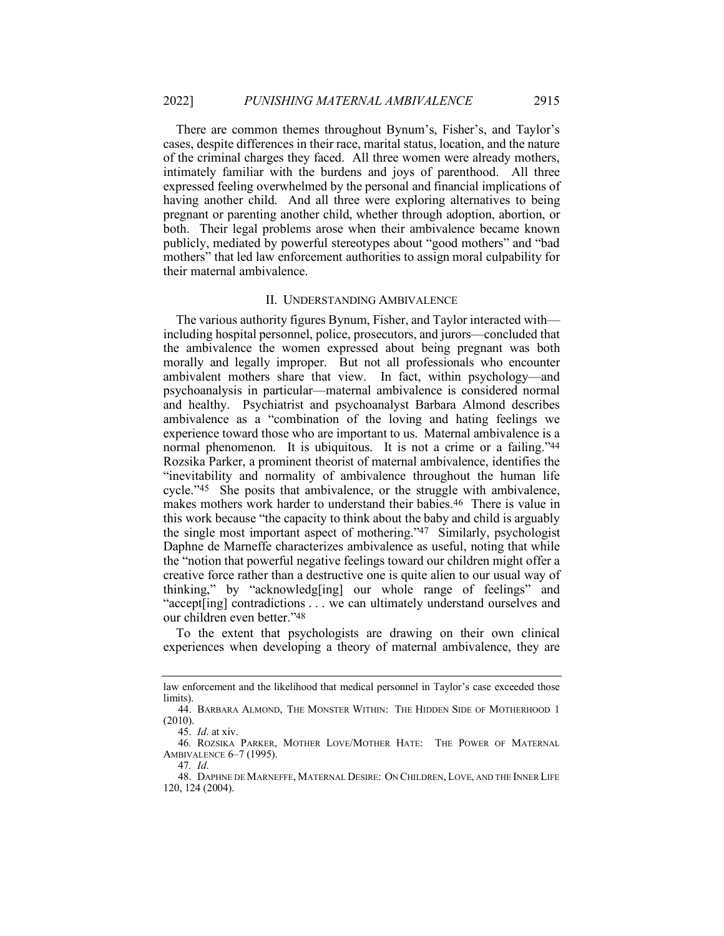There are common themes throughout Bynum's, Fisher's, and Taylor's cases, despite differences in their race, marital status, location, and the nature of the criminal charges they faced. All three women were already mothers, intimately familiar with the burdens and joys of parenthood. All three expressed feeling overwhelmed by the personal and financial implications of having another child. And all three were exploring alternatives to being pregnant or parenting another child, whether through adoption, abortion, or both. Their legal problems arose when their ambivalence became known publicly, mediated by powerful stereotypes about "good mothers" and "bad mothers" that led law enforcement authorities to assign moral culpability for their maternal ambivalence.

### II. UNDERSTANDING AMBIVALENCE

The various authority figures Bynum, Fisher, and Taylor interacted with including hospital personnel, police, prosecutors, and jurors—concluded that the ambivalence the women expressed about being pregnant was both morally and legally improper. But not all professionals who encounter ambivalent mothers share that view. In fact, within psychology—and psychoanalysis in particular—maternal ambivalence is considered normal and healthy. Psychiatrist and psychoanalyst Barbara Almond describes ambivalence as a "combination of the loving and hating feelings we experience toward those who are important to us. Maternal ambivalence is a normal phenomenon. It is ubiquitous. It is not a crime or a failing."44 Rozsika Parker, a prominent theorist of maternal ambivalence, identifies the "inevitability and normality of ambivalence throughout the human life cycle."45 She posits that ambivalence, or the struggle with ambivalence, makes mothers work harder to understand their babies.46 There is value in this work because "the capacity to think about the baby and child is arguably the single most important aspect of mothering."47 Similarly, psychologist Daphne de Marneffe characterizes ambivalence as useful, noting that while the "notion that powerful negative feelings toward our children might offer a creative force rather than a destructive one is quite alien to our usual way of thinking," by "acknowledg[ing] our whole range of feelings" and "accept[ing] contradictions . . . we can ultimately understand ourselves and our children even better."48

To the extent that psychologists are drawing on their own clinical experiences when developing a theory of maternal ambivalence, they are

law enforcement and the likelihood that medical personnel in Taylor's case exceeded those limits).

<sup>44.</sup> BARBARA ALMOND, THE MONSTER WITHIN: THE HIDDEN SIDE OF MOTHERHOOD 1 (2010).

<sup>45.</sup> *Id*. at xiv.

<sup>46</sup>*.* ROZSIKA PARKER, MOTHER LOVE/MOTHER HATE: THE POWER OF MATERNAL AMBIVALENCE 6–7 (1995).

<sup>47</sup>*. Id*.

<sup>48.</sup> DAPHNE DE MARNEFFE, MATERNAL DESIRE: ON CHILDREN, LOVE, AND THE INNER LIFE 120, 124 (2004).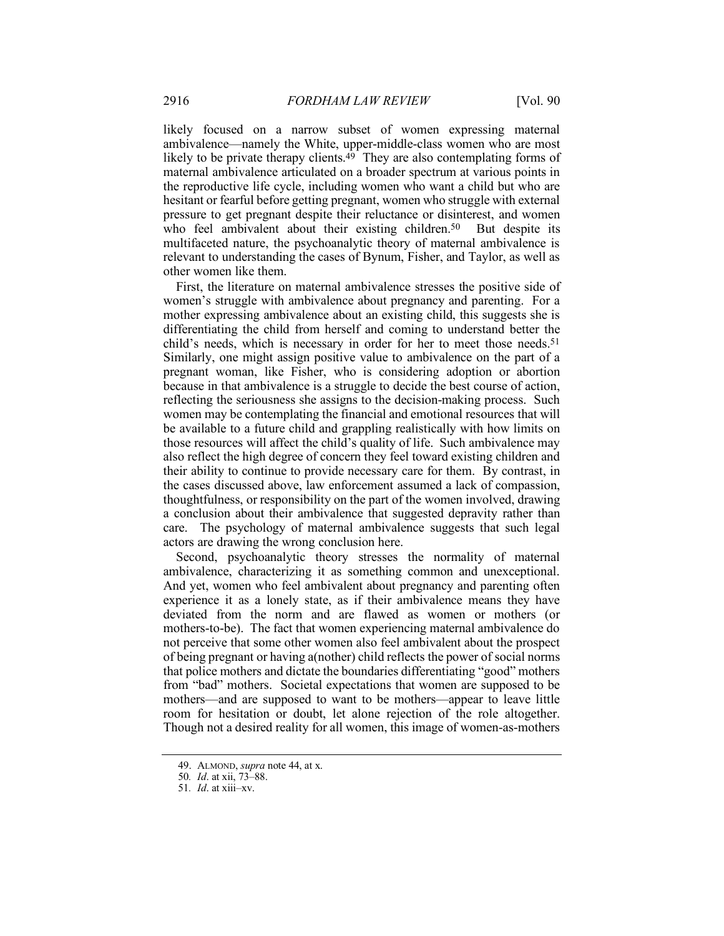likely focused on a narrow subset of women expressing maternal ambivalence—namely the White, upper-middle-class women who are most likely to be private therapy clients. $49$  They are also contemplating forms of maternal ambivalence articulated on a broader spectrum at various points in the reproductive life cycle, including women who want a child but who are hesitant or fearful before getting pregnant, women who struggle with external pressure to get pregnant despite their reluctance or disinterest, and women who feel ambivalent about their existing children.<sup>50</sup> But despite its multifaceted nature, the psychoanalytic theory of maternal ambivalence is relevant to understanding the cases of Bynum, Fisher, and Taylor, as well as other women like them.

First, the literature on maternal ambivalence stresses the positive side of women's struggle with ambivalence about pregnancy and parenting. For a mother expressing ambivalence about an existing child, this suggests she is differentiating the child from herself and coming to understand better the child's needs, which is necessary in order for her to meet those needs.<sup>51</sup> Similarly, one might assign positive value to ambivalence on the part of a pregnant woman, like Fisher, who is considering adoption or abortion because in that ambivalence is a struggle to decide the best course of action, reflecting the seriousness she assigns to the decision-making process. Such women may be contemplating the financial and emotional resources that will be available to a future child and grappling realistically with how limits on those resources will affect the child's quality of life. Such ambivalence may also reflect the high degree of concern they feel toward existing children and their ability to continue to provide necessary care for them. By contrast, in the cases discussed above, law enforcement assumed a lack of compassion, thoughtfulness, or responsibility on the part of the women involved, drawing a conclusion about their ambivalence that suggested depravity rather than care. The psychology of maternal ambivalence suggests that such legal actors are drawing the wrong conclusion here.

Second, psychoanalytic theory stresses the normality of maternal ambivalence, characterizing it as something common and unexceptional. And yet, women who feel ambivalent about pregnancy and parenting often experience it as a lonely state, as if their ambivalence means they have deviated from the norm and are flawed as women or mothers (or mothers-to-be). The fact that women experiencing maternal ambivalence do not perceive that some other women also feel ambivalent about the prospect of being pregnant or having a(nother) child reflects the power of social norms that police mothers and dictate the boundaries differentiating "good" mothers from "bad" mothers. Societal expectations that women are supposed to be mothers—and are supposed to want to be mothers—appear to leave little room for hesitation or doubt, let alone rejection of the role altogether. Though not a desired reality for all women, this image of women-as-mothers

<sup>49.</sup> ALMOND, *supra* note 44, at x.

<sup>50</sup>*. Id*. at xii, 73–88.

<sup>51</sup>*. Id*. at xiii–xv.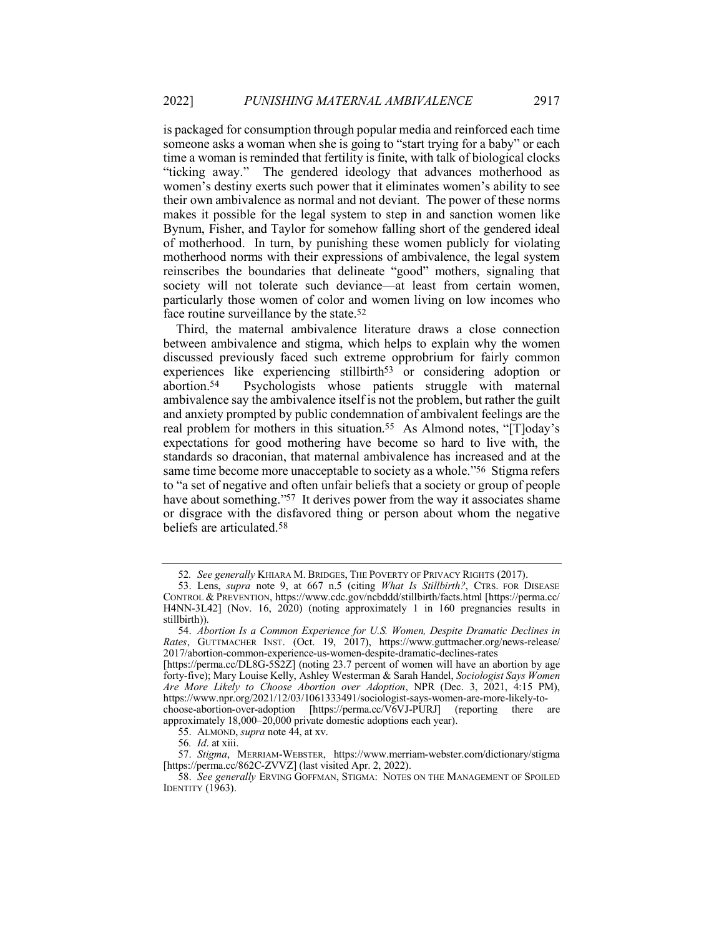is packaged for consumption through popular media and reinforced each time someone asks a woman when she is going to "start trying for a baby" or each time a woman is reminded that fertility is finite, with talk of biological clocks "ticking away." The gendered ideology that advances motherhood as women's destiny exerts such power that it eliminates women's ability to see their own ambivalence as normal and not deviant. The power of these norms makes it possible for the legal system to step in and sanction women like Bynum, Fisher, and Taylor for somehow falling short of the gendered ideal of motherhood. In turn, by punishing these women publicly for violating motherhood norms with their expressions of ambivalence, the legal system reinscribes the boundaries that delineate "good" mothers, signaling that society will not tolerate such deviance—at least from certain women, particularly those women of color and women living on low incomes who face routine surveillance by the state.52

Third, the maternal ambivalence literature draws a close connection between ambivalence and stigma, which helps to explain why the women discussed previously faced such extreme opprobrium for fairly common experiences like experiencing stillbirth<sup>53</sup> or considering adoption or abortion.54 Psychologists whose patients struggle with maternal ambivalence say the ambivalence itself is not the problem, but rather the guilt and anxiety prompted by public condemnation of ambivalent feelings are the real problem for mothers in this situation.55 As Almond notes, "[T]oday's expectations for good mothering have become so hard to live with, the standards so draconian, that maternal ambivalence has increased and at the same time become more unacceptable to society as a whole."56 Stigma refers to "a set of negative and often unfair beliefs that a society or group of people have about something."<sup>57</sup> It derives power from the way it associates shame or disgrace with the disfavored thing or person about whom the negative beliefs are articulated.58

<sup>52</sup>*. See generally* KHIARA M. BRIDGES, THE POVERTY OF PRIVACY RIGHTS (2017).

<sup>53.</sup> Lens, *supra* note 9, at 667 n.5 (citing *What Is Stillbirth?*, CTRS. FOR DISEASE CONTROL & PREVENTION, https://www.cdc.gov/ncbddd/stillbirth/facts.html [https://perma.cc/ H4NN-3L42] (Nov. 16, 2020) (noting approximately 1 in 160 pregnancies results in stillbirth)).

<sup>54.</sup> *Abortion Is a Common Experience for U.S. Women, Despite Dramatic Declines in Rates*, GUTTMACHER INST. (Oct. 19, 2017), https://www.guttmacher.org/news-release/ 2017/abortion-common-experience-us-women-despite-dramatic-declines-rates

<sup>[</sup>https://perma.cc/DL8G-5S2Z] (noting 23.7 percent of women will have an abortion by age forty-five); Mary Louise Kelly, Ashley Westerman & Sarah Handel, *Sociologist Says Women Are More Likely to Choose Abortion over Adoption*, NPR (Dec. 3, 2021, 4:15 PM), https://www.npr.org/2021/12/03/1061333491/sociologist-says-women-are-more-likely-tochoose-abortion-over-adoption [https://perma.cc/V6VJ-PURJ] (reporting there are approximately 18,000–20,000 private domestic adoptions each year).

<sup>55.</sup> ALMOND, *supra* note 44, at xv.

<sup>56</sup>*. Id*. at xiii.

<sup>57.</sup> *Stigma*, MERRIAM-WEBSTER, https://www.merriam-webster.com/dictionary/stigma [https://perma.cc/862C-ZVVZ] (last visited Apr. 2, 2022).

<sup>58.</sup> *See generally* ERVING GOFFMAN, STIGMA: NOTES ON THE MANAGEMENT OF SPOILED **IDENTITY** (1963).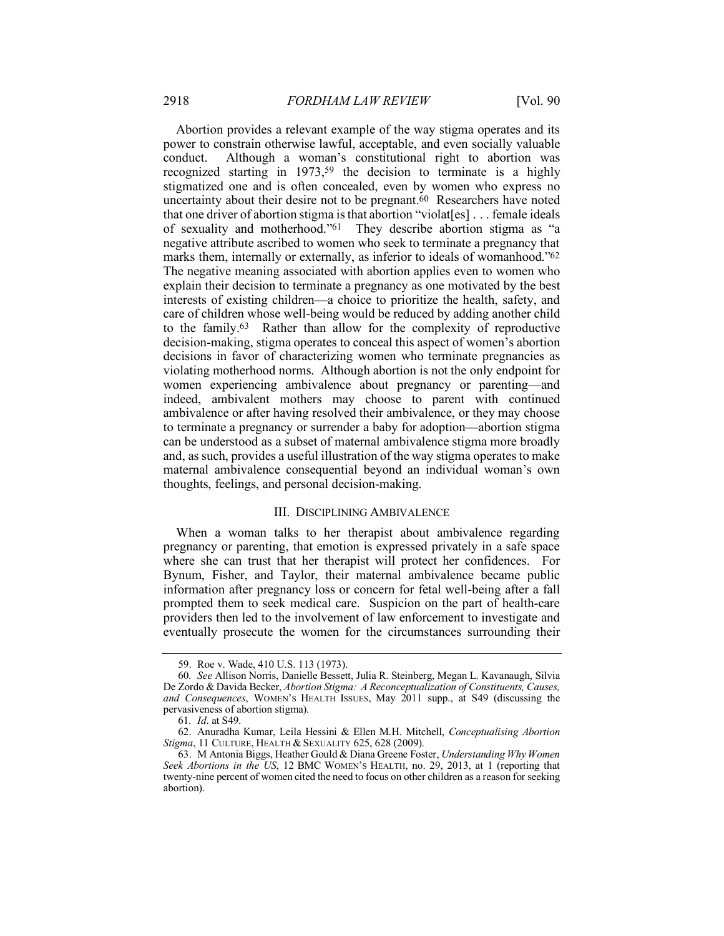Abortion provides a relevant example of the way stigma operates and its power to constrain otherwise lawful, acceptable, and even socially valuable conduct. Although a woman's constitutional right to abortion was recognized starting in 1973,<sup>59</sup> the decision to terminate is a highly stigmatized one and is often concealed, even by women who express no uncertainty about their desire not to be pregnant.<sup>60</sup> Researchers have noted that one driver of abortion stigma is that abortion "violat[es] . . . female ideals of sexuality and motherhood."61 They describe abortion stigma as "a negative attribute ascribed to women who seek to terminate a pregnancy that marks them, internally or externally, as inferior to ideals of womanhood."<sup>62</sup> The negative meaning associated with abortion applies even to women who explain their decision to terminate a pregnancy as one motivated by the best interests of existing children—a choice to prioritize the health, safety, and care of children whose well-being would be reduced by adding another child to the family.63 Rather than allow for the complexity of reproductive decision-making, stigma operates to conceal this aspect of women's abortion decisions in favor of characterizing women who terminate pregnancies as violating motherhood norms. Although abortion is not the only endpoint for women experiencing ambivalence about pregnancy or parenting—and indeed, ambivalent mothers may choose to parent with continued ambivalence or after having resolved their ambivalence, or they may choose to terminate a pregnancy or surrender a baby for adoption—abortion stigma can be understood as a subset of maternal ambivalence stigma more broadly and, as such, provides a useful illustration of the way stigma operates to make maternal ambivalence consequential beyond an individual woman's own thoughts, feelings, and personal decision-making.

# III. DISCIPLINING AMBIVALENCE

When a woman talks to her therapist about ambivalence regarding pregnancy or parenting, that emotion is expressed privately in a safe space where she can trust that her therapist will protect her confidences. For Bynum, Fisher, and Taylor, their maternal ambivalence became public information after pregnancy loss or concern for fetal well-being after a fall prompted them to seek medical care. Suspicion on the part of health-care providers then led to the involvement of law enforcement to investigate and eventually prosecute the women for the circumstances surrounding their

<sup>59.</sup> Roe v. Wade, 410 U.S. 113 (1973).

<sup>60</sup>*. See* Allison Norris, Danielle Bessett, Julia R. Steinberg, Megan L. Kavanaugh, Silvia De Zordo & Davida Becker, *Abortion Stigma: A Reconceptualization of Constituents, Causes, and Consequences*, WOMEN'S HEALTH ISSUES, May 2011 supp., at S49 (discussing the pervasiveness of abortion stigma).

<sup>61</sup>*. Id*. at S49.

<sup>62.</sup> Anuradha Kumar, Leila Hessini & Ellen M.H. Mitchell, *Conceptualising Abortion Stigma*, 11 CULTURE, HEALTH & SEXUALITY 625, 628 (2009).

<sup>63.</sup> M Antonia Biggs, Heather Gould & Diana Greene Foster, *Understanding Why Women Seek Abortions in the US*, 12 BMC WOMEN'S HEALTH, no. 29, 2013, at 1 (reporting that twenty-nine percent of women cited the need to focus on other children as a reason for seeking abortion).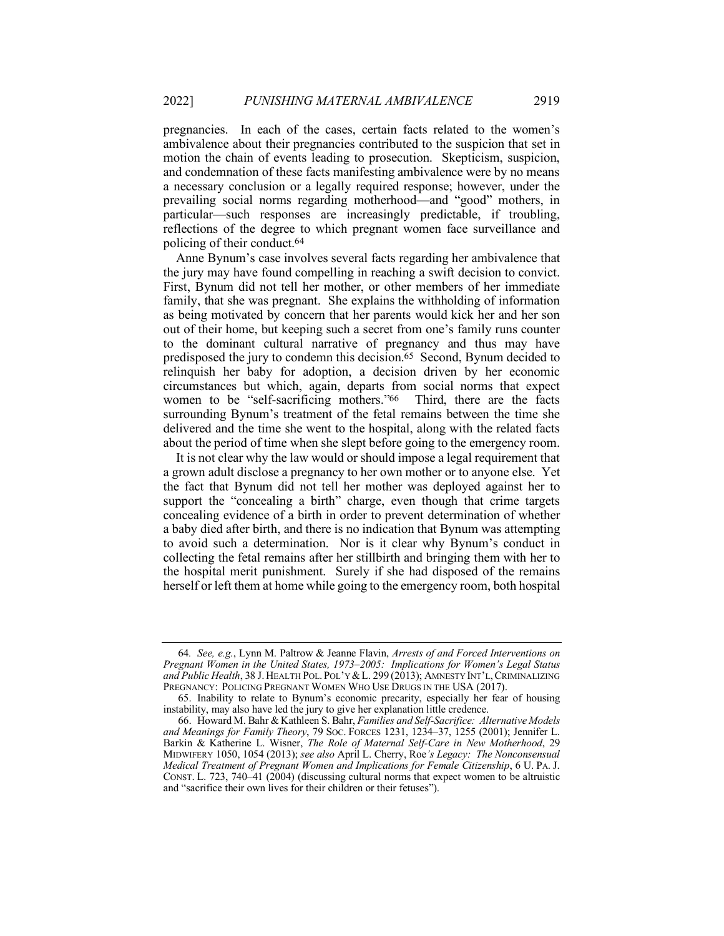pregnancies. In each of the cases, certain facts related to the women's ambivalence about their pregnancies contributed to the suspicion that set in motion the chain of events leading to prosecution. Skepticism, suspicion, and condemnation of these facts manifesting ambivalence were by no means a necessary conclusion or a legally required response; however, under the prevailing social norms regarding motherhood—and "good" mothers, in particular—such responses are increasingly predictable, if troubling, reflections of the degree to which pregnant women face surveillance and policing of their conduct.64

Anne Bynum's case involves several facts regarding her ambivalence that the jury may have found compelling in reaching a swift decision to convict. First, Bynum did not tell her mother, or other members of her immediate family, that she was pregnant. She explains the withholding of information as being motivated by concern that her parents would kick her and her son out of their home, but keeping such a secret from one's family runs counter to the dominant cultural narrative of pregnancy and thus may have predisposed the jury to condemn this decision.65 Second, Bynum decided to relinquish her baby for adoption, a decision driven by her economic circumstances but which, again, departs from social norms that expect women to be "self-sacrificing mothers."66 Third, there are the facts surrounding Bynum's treatment of the fetal remains between the time she delivered and the time she went to the hospital, along with the related facts about the period of time when she slept before going to the emergency room.

It is not clear why the law would or should impose a legal requirement that a grown adult disclose a pregnancy to her own mother or to anyone else. Yet the fact that Bynum did not tell her mother was deployed against her to support the "concealing a birth" charge, even though that crime targets concealing evidence of a birth in order to prevent determination of whether a baby died after birth, and there is no indication that Bynum was attempting to avoid such a determination. Nor is it clear why Bynum's conduct in collecting the fetal remains after her stillbirth and bringing them with her to the hospital merit punishment. Surely if she had disposed of the remains herself or left them at home while going to the emergency room, both hospital

<sup>64</sup>*. See, e.g.*, Lynn M. Paltrow & Jeanne Flavin, *Arrests of and Forced Interventions on Pregnant Women in the United States, 1973–2005: Implications for Women's Legal Status*  and Public Health, 38 J. HEALTH POL. POL'Y & L. 299 (2013); AMNESTY INT'L, CRIMINALIZING PREGNANCY: POLICING PREGNANT WOMEN WHO USE DRUGS IN THE USA (2017).

<sup>65.</sup> Inability to relate to Bynum's economic precarity, especially her fear of housing instability, may also have led the jury to give her explanation little credence.

<sup>66.</sup> Howard M. Bahr & Kathleen S. Bahr, *Families and Self-Sacrifice: Alternative Models and Meanings for Family Theory*, 79 SOC. FORCES 1231, 1234–37, 1255 (2001); Jennifer L. Barkin & Katherine L. Wisner, *The Role of Maternal Self-Care in New Motherhood*, 29 MIDWIFERY 1050, 1054 (2013); *see also* April L. Cherry, Roe*'s Legacy: The Nonconsensual Medical Treatment of Pregnant Women and Implications for Female Citizenship*, 6 U. PA. J. CONST. L. 723, 740–41 (2004) (discussing cultural norms that expect women to be altruistic and "sacrifice their own lives for their children or their fetuses").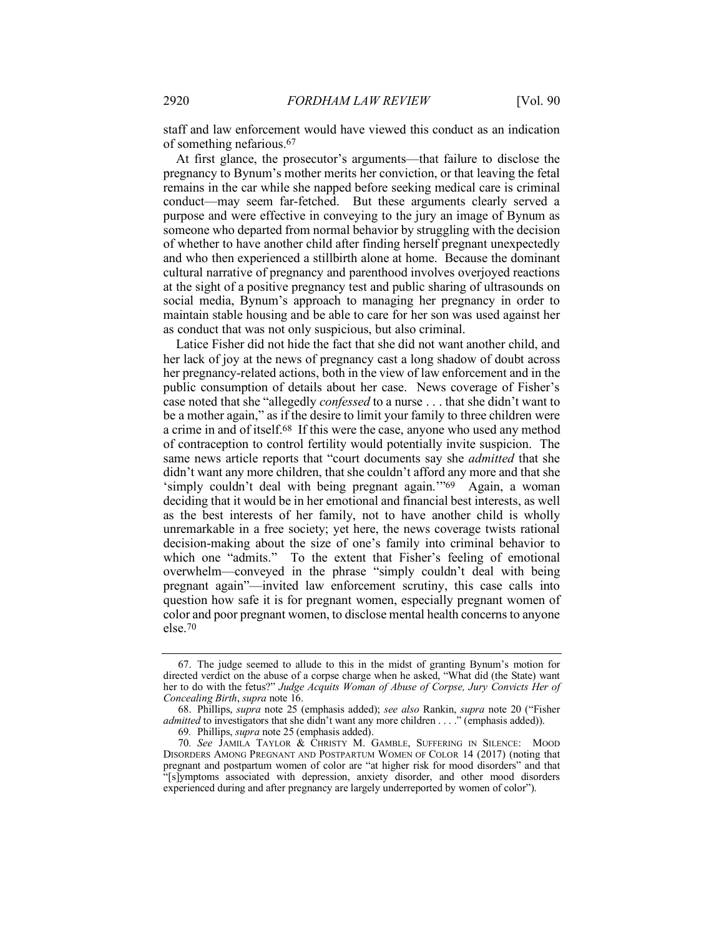staff and law enforcement would have viewed this conduct as an indication of something nefarious.67

At first glance, the prosecutor's arguments—that failure to disclose the pregnancy to Bynum's mother merits her conviction, or that leaving the fetal remains in the car while she napped before seeking medical care is criminal conduct—may seem far-fetched. But these arguments clearly served a purpose and were effective in conveying to the jury an image of Bynum as someone who departed from normal behavior by struggling with the decision of whether to have another child after finding herself pregnant unexpectedly and who then experienced a stillbirth alone at home. Because the dominant cultural narrative of pregnancy and parenthood involves overjoyed reactions at the sight of a positive pregnancy test and public sharing of ultrasounds on social media, Bynum's approach to managing her pregnancy in order to maintain stable housing and be able to care for her son was used against her as conduct that was not only suspicious, but also criminal.

Latice Fisher did not hide the fact that she did not want another child, and her lack of joy at the news of pregnancy cast a long shadow of doubt across her pregnancy-related actions, both in the view of law enforcement and in the public consumption of details about her case. News coverage of Fisher's case noted that she "allegedly *confessed* to a nurse . . . that she didn't want to be a mother again," as if the desire to limit your family to three children were a crime in and of itself.68 If this were the case, anyone who used any method of contraception to control fertility would potentially invite suspicion. The same news article reports that "court documents say she *admitted* that she didn't want any more children, that she couldn't afford any more and that she 'simply couldn't deal with being pregnant again."<sup>69</sup> Again, a woman deciding that it would be in her emotional and financial best interests, as well as the best interests of her family, not to have another child is wholly unremarkable in a free society; yet here, the news coverage twists rational decision-making about the size of one's family into criminal behavior to which one "admits." To the extent that Fisher's feeling of emotional overwhelm—conveyed in the phrase "simply couldn't deal with being pregnant again"—invited law enforcement scrutiny, this case calls into question how safe it is for pregnant women, especially pregnant women of color and poor pregnant women, to disclose mental health concerns to anyone else.70

<sup>67.</sup> The judge seemed to allude to this in the midst of granting Bynum's motion for directed verdict on the abuse of a corpse charge when he asked, "What did (the State) want her to do with the fetus?" *Judge Acquits Woman of Abuse of Corpse, Jury Convicts Her of Concealing Birth*, *supra* note 16.

<sup>68.</sup> Phillips, *supra* note 25 (emphasis added); *see also* Rankin, *supra* note 20 ("Fisher *admitted* to investigators that she didn't want any more children . . . ." (emphasis added)).

<sup>69</sup>*.* Phillips, *supra* note 25 (emphasis added).

<sup>70</sup>*. See* JAMILA TAYLOR & CHRISTY M. GAMBLE, SUFFERING IN SILENCE: MOOD DISORDERS AMONG PREGNANT AND POSTPARTUM WOMEN OF COLOR 14 (2017) (noting that pregnant and postpartum women of color are "at higher risk for mood disorders" and that "[s]ymptoms associated with depression, anxiety disorder, and other mood disorders experienced during and after pregnancy are largely underreported by women of color").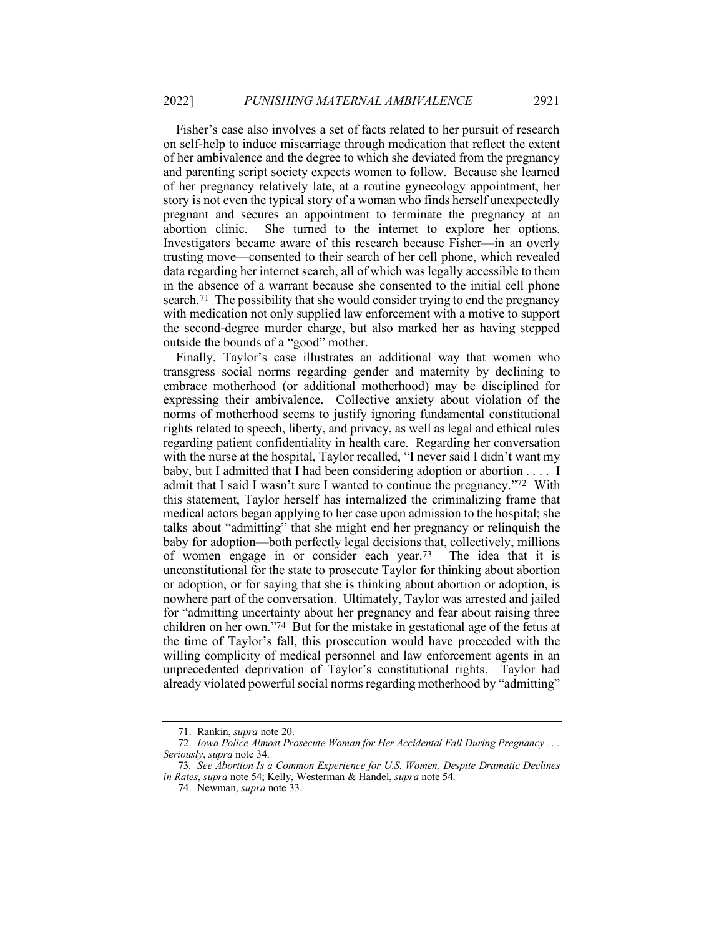Fisher's case also involves a set of facts related to her pursuit of research on self-help to induce miscarriage through medication that reflect the extent of her ambivalence and the degree to which she deviated from the pregnancy and parenting script society expects women to follow. Because she learned of her pregnancy relatively late, at a routine gynecology appointment, her story is not even the typical story of a woman who finds herself unexpectedly pregnant and secures an appointment to terminate the pregnancy at an abortion clinic. She turned to the internet to explore her options. Investigators became aware of this research because Fisher—in an overly trusting move—consented to their search of her cell phone, which revealed data regarding her internet search, all of which was legally accessible to them in the absence of a warrant because she consented to the initial cell phone search.71 The possibility that she would consider trying to end the pregnancy with medication not only supplied law enforcement with a motive to support the second-degree murder charge, but also marked her as having stepped outside the bounds of a "good" mother.

Finally, Taylor's case illustrates an additional way that women who transgress social norms regarding gender and maternity by declining to embrace motherhood (or additional motherhood) may be disciplined for expressing their ambivalence. Collective anxiety about violation of the norms of motherhood seems to justify ignoring fundamental constitutional rights related to speech, liberty, and privacy, as well as legal and ethical rules regarding patient confidentiality in health care. Regarding her conversation with the nurse at the hospital, Taylor recalled, "I never said I didn't want my baby, but I admitted that I had been considering adoption or abortion . . . . I admit that I said I wasn't sure I wanted to continue the pregnancy."72 With this statement, Taylor herself has internalized the criminalizing frame that medical actors began applying to her case upon admission to the hospital; she talks about "admitting" that she might end her pregnancy or relinquish the baby for adoption—both perfectly legal decisions that, collectively, millions of women engage in or consider each year.73 The idea that it is unconstitutional for the state to prosecute Taylor for thinking about abortion or adoption, or for saying that she is thinking about abortion or adoption, is nowhere part of the conversation. Ultimately, Taylor was arrested and jailed for "admitting uncertainty about her pregnancy and fear about raising three children on her own."74 But for the mistake in gestational age of the fetus at the time of Taylor's fall, this prosecution would have proceeded with the willing complicity of medical personnel and law enforcement agents in an unprecedented deprivation of Taylor's constitutional rights. Taylor had already violated powerful social norms regarding motherhood by "admitting"

<sup>71.</sup> Rankin, *supra* note 20.

<sup>72.</sup> *Iowa Police Almost Prosecute Woman for Her Accidental Fall During Pregnancy . . . Seriously*, *supra* note 34.

<sup>73</sup>*. See Abortion Is a Common Experience for U.S. Women, Despite Dramatic Declines in Rates*, *supra* note 54; Kelly, Westerman & Handel, *supra* note 54.

<sup>74.</sup> Newman, *supra* note 33.